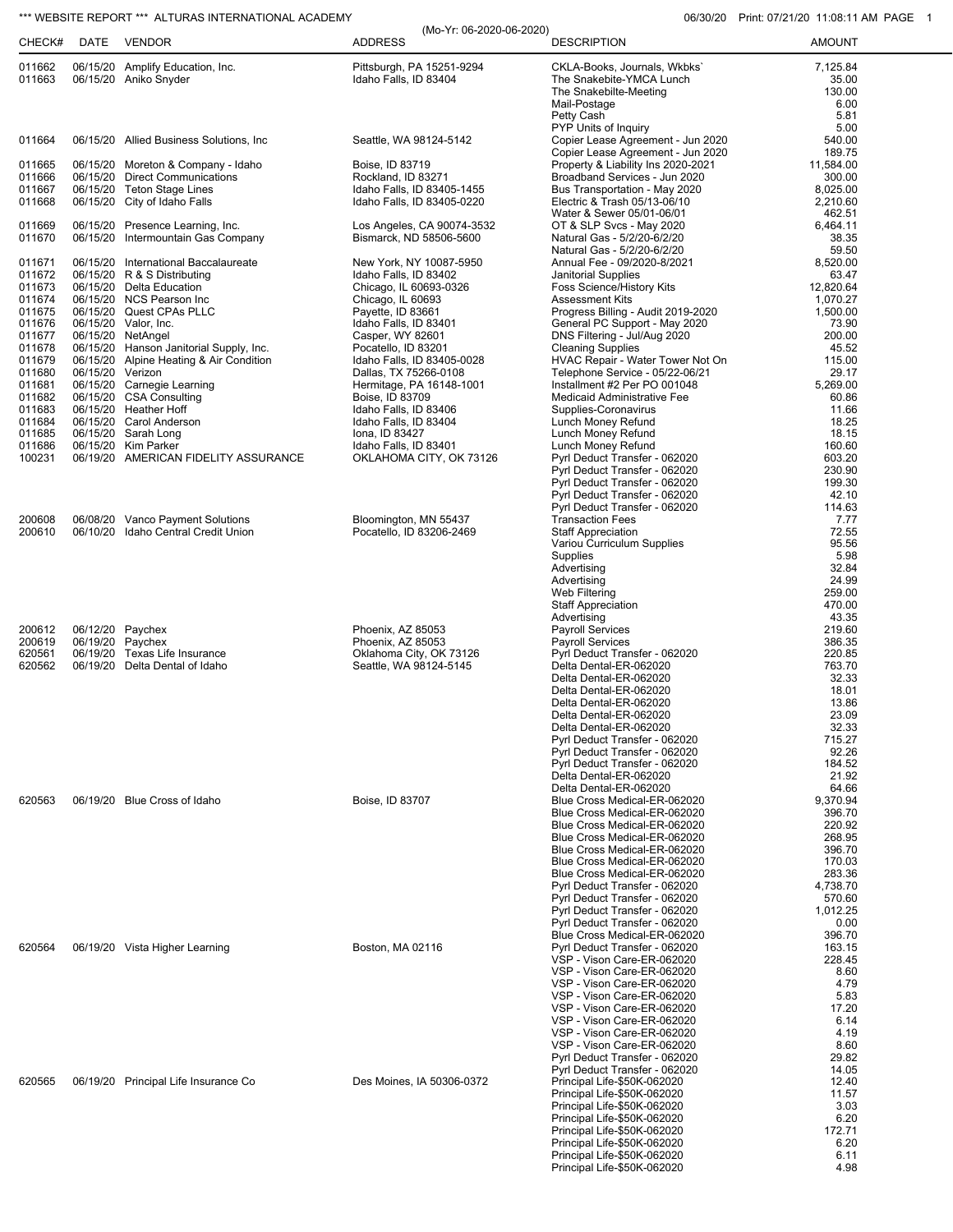## \*\*\* WEBSITE REPORT \*\*\* ALTURAS INTERNATIONAL ACADEMY **12000 CONTRACT CONTRACT CONTRACT ACCORD** 06/30/20 Print: 07/21/20 11:08:11 AM PAGE 1

| CHECK#           | DATE             | VENDOR                                                               | (Mo-Yr: 06-2020-06-2020)<br><b>ADDRESS</b>         | <b>DESCRIPTION</b>                                                                 | <b>AMOUNT</b>               |
|------------------|------------------|----------------------------------------------------------------------|----------------------------------------------------|------------------------------------------------------------------------------------|-----------------------------|
| 011662<br>011663 |                  | 06/15/20 Amplify Education, Inc.<br>06/15/20 Aniko Snyder            | Pittsburgh, PA 15251-9294<br>Idaho Falls, ID 83404 | CKLA-Books, Journals, Wkbks'<br>The Snakebite-YMCA Lunch<br>The Snakebilte-Meeting | 7,125.84<br>35.00<br>130.00 |
|                  |                  |                                                                      |                                                    | Mail-Postage                                                                       | 6.00                        |
|                  |                  |                                                                      |                                                    | Petty Cash<br>PYP Units of Inquiry                                                 | 5.81<br>5.00                |
| 011664           |                  | 06/15/20 Allied Business Solutions, Inc.                             | Seattle, WA 98124-5142                             | Copier Lease Agreement - Jun 2020                                                  | 540.00                      |
| 011665           |                  |                                                                      |                                                    | Copier Lease Agreement - Jun 2020<br>Property & Liability Ins 2020-2021            | 189.75<br>11,584.00         |
| 011666           |                  | 06/15/20 Moreton & Company - Idaho<br>06/15/20 Direct Communications | Boise, ID 83719<br>Rockland, ID 83271              | Broadband Services - Jun 2020                                                      | 300.00                      |
| 011667           |                  | 06/15/20 Teton Stage Lines                                           | Idaho Falls, ID 83405-1455                         | Bus Transportation - May 2020                                                      | 8,025.00                    |
| 011668           |                  | 06/15/20 City of Idaho Falls                                         | Idaho Falls, ID 83405-0220                         | Electric & Trash 05/13-06/10<br>Water & Sewer 05/01-06/01                          | 2,210.60<br>462.51          |
| 011669           |                  | 06/15/20 Presence Learning, Inc.                                     | Los Angeles, CA 90074-3532                         | OT & SLP Svcs - May 2020                                                           | 6,464.11                    |
| 011670           |                  | 06/15/20 Intermountain Gas Company                                   | Bismarck, ND 58506-5600                            | Natural Gas - 5/2/20-6/2/20<br>Natural Gas - 5/2/20-6/2/20                         | 38.35<br>59.50              |
| 011671           |                  | 06/15/20 International Baccalaureate                                 | New York, NY 10087-5950                            | Annual Fee - 09/2020-8/2021                                                        | 8,520.00                    |
| 011672           |                  | 06/15/20 R & S Distributing                                          | Idaho Falls, ID 83402                              | Janitorial Supplies                                                                | 63.47                       |
| 011673<br>011674 |                  | 06/15/20 Delta Education<br>06/15/20 NCS Pearson Inc                 | Chicago, IL 60693-0326<br>Chicago, IL 60693        | Foss Science/History Kits<br><b>Assessment Kits</b>                                | 12,820.64<br>1,070.27       |
| 011675           |                  | 06/15/20 Quest CPAs PLLC                                             | Payette, ID 83661                                  | Progress Billing - Audit 2019-2020                                                 | 1,500.00                    |
| 011676<br>011677 |                  | 06/15/20 Valor, Inc.<br>06/15/20 NetAngel                            | Idaho Falls, ID 83401<br>Casper, WY 82601          | General PC Support - May 2020<br>DNS Filtering - Jul/Aug 2020                      | 73.90<br>200.00             |
| 011678           |                  | 06/15/20 Hanson Janitorial Supply, Inc.                              | Pocatello, ID 83201                                | <b>Cleaning Supplies</b>                                                           | 45.52                       |
| 011679           |                  | 06/15/20 Alpine Heating & Air Condition                              | Idaho Falls, ID 83405-0028                         | HVAC Repair - Water Tower Not On                                                   | 115.00                      |
| 011680<br>011681 | 06/15/20 Verizon | 06/15/20 Carnegie Learning                                           | Dallas, TX 75266-0108<br>Hermitage, PA 16148-1001  | Telephone Service - 05/22-06/21<br>Installment #2 Per PO 001048                    | 29.17<br>5,269.00           |
| 011682           |                  | 06/15/20 CSA Consulting                                              | Boise, ID 83709                                    | Medicaid Administrative Fee                                                        | 60.86                       |
| 011683<br>011684 |                  | 06/15/20 Heather Hoff<br>06/15/20 Carol Anderson                     | Idaho Falls, ID 83406<br>Idaho Falls, ID 83404     | Supplies-Coronavirus<br>Lunch Money Refund                                         | 11.66<br>18.25              |
| 011685           |                  | 06/15/20 Sarah Long                                                  | Iona, ID 83427                                     | Lunch Money Refund                                                                 | 18.15                       |
| 011686           |                  | 06/15/20 Kim Parker                                                  | Idaho Falls, ID 83401                              | Lunch Money Refund                                                                 | 160.60                      |
| 100231           |                  | 06/19/20 AMERICAN FIDELITY ASSURANCE                                 | OKLAHOMA CITY, OK 73126                            | Pyrl Deduct Transfer - 062020<br>Pyrl Deduct Transfer - 062020                     | 603.20<br>230.90            |
|                  |                  |                                                                      |                                                    | Pyrl Deduct Transfer - 062020                                                      | 199.30                      |
|                  |                  |                                                                      |                                                    | Pyrl Deduct Transfer - 062020<br>Pyrl Deduct Transfer - 062020                     | 42.10<br>114.63             |
| 200608           |                  | 06/08/20 Vanco Payment Solutions                                     | Bloomington, MN 55437                              | <b>Transaction Fees</b>                                                            | 7.77                        |
| 200610           |                  | 06/10/20 Idaho Central Credit Union                                  | Pocatello, ID 83206-2469                           | <b>Staff Appreciation</b>                                                          | 72.55                       |
|                  |                  |                                                                      |                                                    | Variou Curriculum Supplies<br>Supplies                                             | 95.56<br>5.98               |
|                  |                  |                                                                      |                                                    | Advertising                                                                        | 32.84                       |
|                  |                  |                                                                      |                                                    | Advertising<br>Web Filtering                                                       | 24.99<br>259.00             |
|                  |                  |                                                                      |                                                    | <b>Staff Appreciation</b>                                                          | 470.00                      |
|                  |                  |                                                                      |                                                    | Advertising                                                                        | 43.35                       |
| 200612<br>200619 |                  | 06/12/20 Paychex<br>06/19/20 Paychex                                 | Phoenix, AZ 85053<br>Phoenix, AZ 85053             | Payroll Services<br><b>Payroll Services</b>                                        | 219.60<br>386.35            |
| 620561           |                  | 06/19/20 Texas Life Insurance                                        | Oklahoma City, OK 73126                            | Pyrl Deduct Transfer - 062020                                                      | 220.85                      |
| 620562           |                  | 06/19/20 Delta Dental of Idaho                                       | Seattle, WA 98124-5145                             | Delta Dental-ER-062020<br>Delta Dental-ER-062020                                   | 763.70<br>32.33             |
|                  |                  |                                                                      |                                                    | Delta Dental-ER-062020                                                             | 18.01                       |
|                  |                  |                                                                      |                                                    | Delta Dental-ER-062020                                                             | 13.86                       |
|                  |                  |                                                                      |                                                    | Delta Dental-ER-062020<br>Delta Dental-ER-062020                                   | 23.09<br>32.33              |
|                  |                  |                                                                      |                                                    | Pyrl Deduct Transfer - 062020                                                      | 715.27                      |
|                  |                  |                                                                      |                                                    | Pyrl Deduct Transfer - 062020<br>Pyrl Deduct Transfer - 062020                     | 92.26<br>184.52             |
|                  |                  |                                                                      |                                                    | Delta Dental-ER-062020                                                             | 21.92                       |
|                  |                  |                                                                      |                                                    | Delta Dental-ER-062020                                                             | 64.66                       |
| 620563           |                  | 06/19/20 Blue Cross of Idaho                                         | Boise, ID 83707                                    | Blue Cross Medical-ER-062020<br>Blue Cross Medical-ER-062020                       | 9,370.94<br>396.70          |
|                  |                  |                                                                      |                                                    | Blue Cross Medical-ER-062020                                                       | 220.92                      |
|                  |                  |                                                                      |                                                    | Blue Cross Medical-ER-062020<br>Blue Cross Medical-ER-062020                       | 268.95<br>396.70            |
|                  |                  |                                                                      |                                                    | Blue Cross Medical-ER-062020                                                       | 170.03                      |
|                  |                  |                                                                      |                                                    | Blue Cross Medical-ER-062020                                                       | 283.36                      |
|                  |                  |                                                                      |                                                    | Pyrl Deduct Transfer - 062020<br>Pyrl Deduct Transfer - 062020                     | 4,738.70<br>570.60          |
|                  |                  |                                                                      |                                                    | Pyrl Deduct Transfer - 062020                                                      | 1,012.25                    |
|                  |                  |                                                                      |                                                    | Pyrl Deduct Transfer - 062020                                                      | 0.00                        |
| 620564           |                  | 06/19/20 Vista Higher Learning                                       | Boston, MA 02116                                   | Blue Cross Medical-ER-062020<br>Pyrl Deduct Transfer - 062020                      | 396.70<br>163.15            |
|                  |                  |                                                                      |                                                    | VSP - Vison Care-ER-062020                                                         | 228.45                      |
|                  |                  |                                                                      |                                                    | VSP - Vison Care-ER-062020<br>VSP - Vison Care-ER-062020                           | 8.60<br>4.79                |
|                  |                  |                                                                      |                                                    | VSP - Vison Care-ER-062020                                                         | 5.83                        |
|                  |                  |                                                                      |                                                    | VSP - Vison Care-ER-062020                                                         | 17.20                       |
|                  |                  |                                                                      |                                                    | VSP - Vison Care-ER-062020<br>VSP - Vison Care-ER-062020                           | 6.14<br>4.19                |
|                  |                  |                                                                      |                                                    | VSP - Vison Care-ER-062020                                                         | 8.60                        |
|                  |                  |                                                                      |                                                    | Pyrl Deduct Transfer - 062020                                                      | 29.82<br>14.05              |
| 620565           |                  | 06/19/20 Principal Life Insurance Co                                 | Des Moines, IA 50306-0372                          | Pyrl Deduct Transfer - 062020<br>Principal Life-\$50K-062020                       | 12.40                       |
|                  |                  |                                                                      |                                                    | Principal Life-\$50K-062020                                                        | 11.57                       |
|                  |                  |                                                                      |                                                    | Principal Life-\$50K-062020<br>Principal Life-\$50K-062020                         | 3.03<br>6.20                |
|                  |                  |                                                                      |                                                    | Principal Life-\$50K-062020                                                        | 172.71                      |
|                  |                  |                                                                      |                                                    | Principal Life-\$50K-062020                                                        | 6.20                        |
|                  |                  |                                                                      |                                                    | Principal Life-\$50K-062020<br>Principal Life-\$50K-062020                         | 6.11<br>4.98                |
|                  |                  |                                                                      |                                                    |                                                                                    |                             |